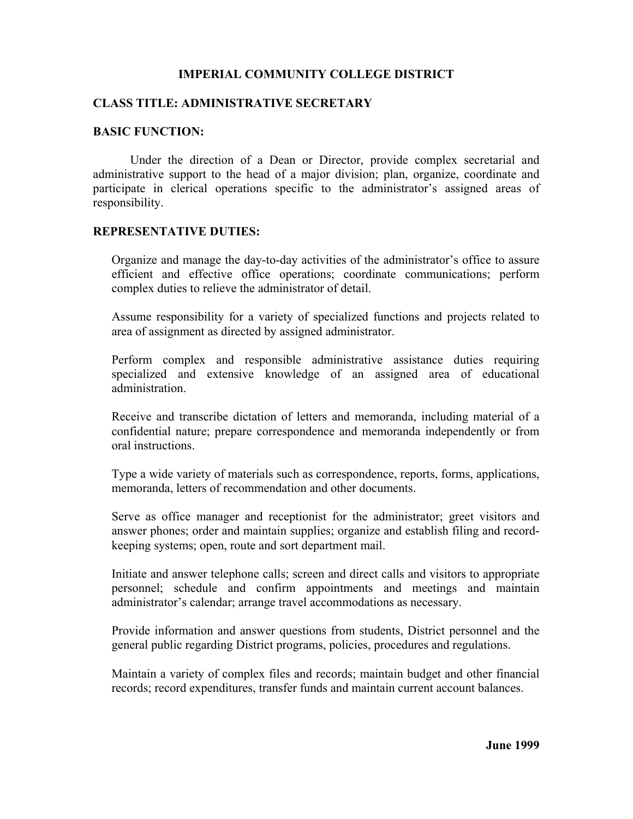# **IMPERIAL COMMUNITY COLLEGE DISTRICT**

# **CLASS TITLE: ADMINISTRATIVE SECRETARY**

### **BASIC FUNCTION:**

Under the direction of a Dean or Director, provide complex secretarial and administrative support to the head of a major division; plan, organize, coordinate and participate in clerical operations specific to the administrator's assigned areas of responsibility.

#### **REPRESENTATIVE DUTIES:**

Organize and manage the day-to-day activities of the administrator's office to assure efficient and effective office operations; coordinate communications; perform complex duties to relieve the administrator of detail.

Assume responsibility for a variety of specialized functions and projects related to area of assignment as directed by assigned administrator.

Perform complex and responsible administrative assistance duties requiring specialized and extensive knowledge of an assigned area of educational administration.

Receive and transcribe dictation of letters and memoranda, including material of a confidential nature; prepare correspondence and memoranda independently or from oral instructions.

Type a wide variety of materials such as correspondence, reports, forms, applications, memoranda, letters of recommendation and other documents.

Serve as office manager and receptionist for the administrator; greet visitors and answer phones; order and maintain supplies; organize and establish filing and recordkeeping systems; open, route and sort department mail.

Initiate and answer telephone calls; screen and direct calls and visitors to appropriate personnel; schedule and confirm appointments and meetings and maintain administrator's calendar; arrange travel accommodations as necessary.

Provide information and answer questions from students, District personnel and the general public regarding District programs, policies, procedures and regulations.

Maintain a variety of complex files and records; maintain budget and other financial records; record expenditures, transfer funds and maintain current account balances.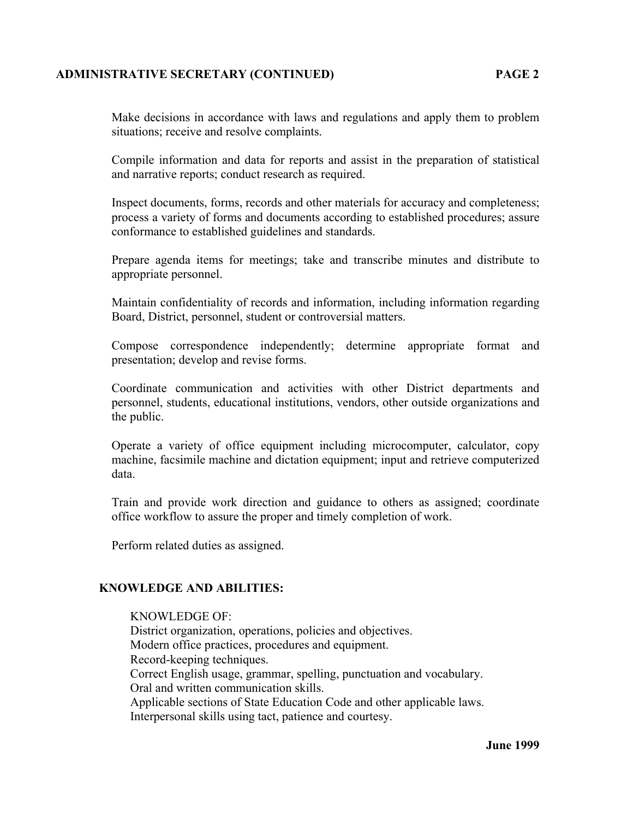# **ADMINISTRATIVE SECRETARY (CONTINUED) PAGE 2**

Make decisions in accordance with laws and regulations and apply them to problem situations; receive and resolve complaints.

Compile information and data for reports and assist in the preparation of statistical and narrative reports; conduct research as required.

Inspect documents, forms, records and other materials for accuracy and completeness; process a variety of forms and documents according to established procedures; assure conformance to established guidelines and standards.

Prepare agenda items for meetings; take and transcribe minutes and distribute to appropriate personnel.

Maintain confidentiality of records and information, including information regarding Board, District, personnel, student or controversial matters.

Compose correspondence independently; determine appropriate format and presentation; develop and revise forms.

Coordinate communication and activities with other District departments and personnel, students, educational institutions, vendors, other outside organizations and the public.

Operate a variety of office equipment including microcomputer, calculator, copy machine, facsimile machine and dictation equipment; input and retrieve computerized data.

Train and provide work direction and guidance to others as assigned; coordinate office workflow to assure the proper and timely completion of work.

Perform related duties as assigned.

## **KNOWLEDGE AND ABILITIES:**

#### KNOWLEDGE OF:

District organization, operations, policies and objectives. Modern office practices, procedures and equipment. Record-keeping techniques. Correct English usage, grammar, spelling, punctuation and vocabulary. Oral and written communication skills. Applicable sections of State Education Code and other applicable laws. Interpersonal skills using tact, patience and courtesy.